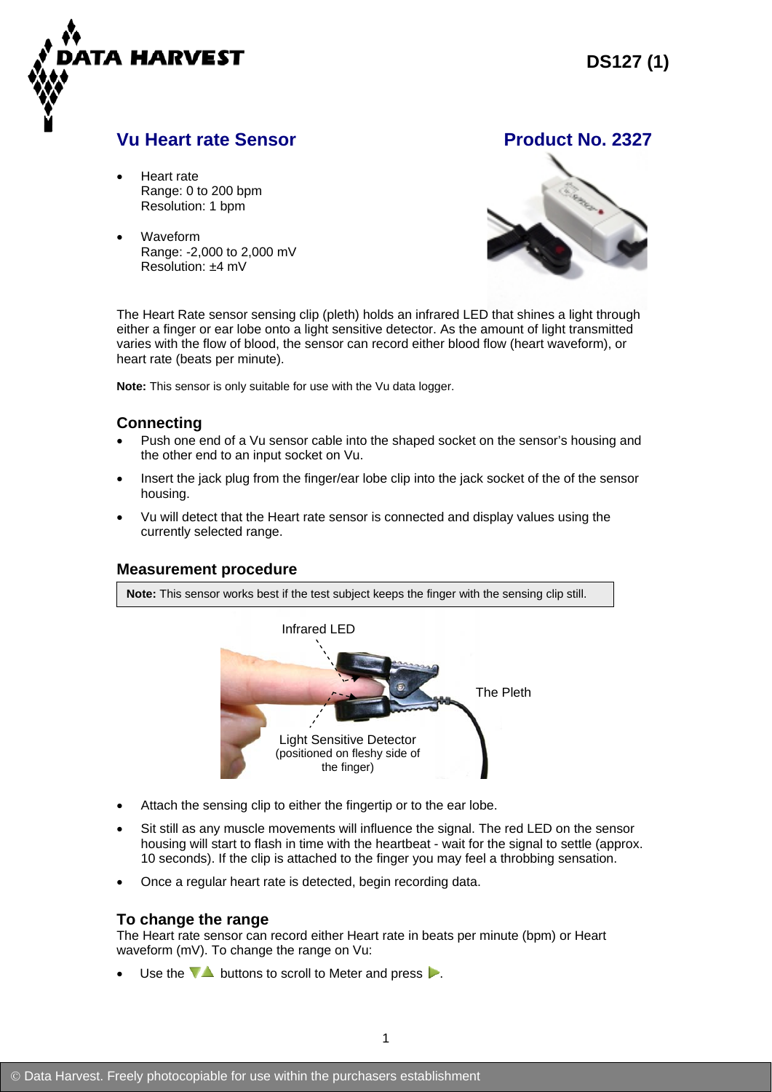

# **Vu Heart rate Sensor Community Community Product No. 2327**

- Heart rate Range: 0 to 200 bpm Resolution: 1 bpm
- Waveform Range: -2,000 to 2,000 mV Resolution: ±4 mV



The Heart Rate sensor sensing clip (pleth) holds an infrared LED that shines a light through either a finger or ear lobe onto a light sensitive detector. As the amount of light transmitted varies with the flow of blood, the sensor can record either blood flow (heart waveform), or heart rate (beats per minute).

**Note:** This sensor is only suitable for use with the Vu data logger.

## **Connecting**

- Push one end of a Vu sensor cable into the shaped socket on the sensor's housing and the other end to an input socket on Vu.
- Insert the jack plug from the finger/ear lobe clip into the jack socket of the of the sensor housing.
- Vu will detect that the Heart rate sensor is connected and display values using the currently selected range.

#### **Measurement procedure**

**Note:** This sensor works best if the test subject keeps the finger with the sensing clip still.



- Attach the sensing clip to either the fingertip or to the ear lobe.
- Sit still as any muscle movements will influence the signal. The red LED on the sensor housing will start to flash in time with the heartbeat - wait for the signal to settle (approx. 10 seconds). If the clip is attached to the finger you may feel a throbbing sensation.
- Once a regular heart rate is detected, begin recording data.

## **To change the range**

The Heart rate sensor can record either Heart rate in beats per minute (bpm) or Heart waveform (mV). To change the range on Vu:

Use the  $\nabla$  buttons to scroll to Meter and press  $\nabla$ .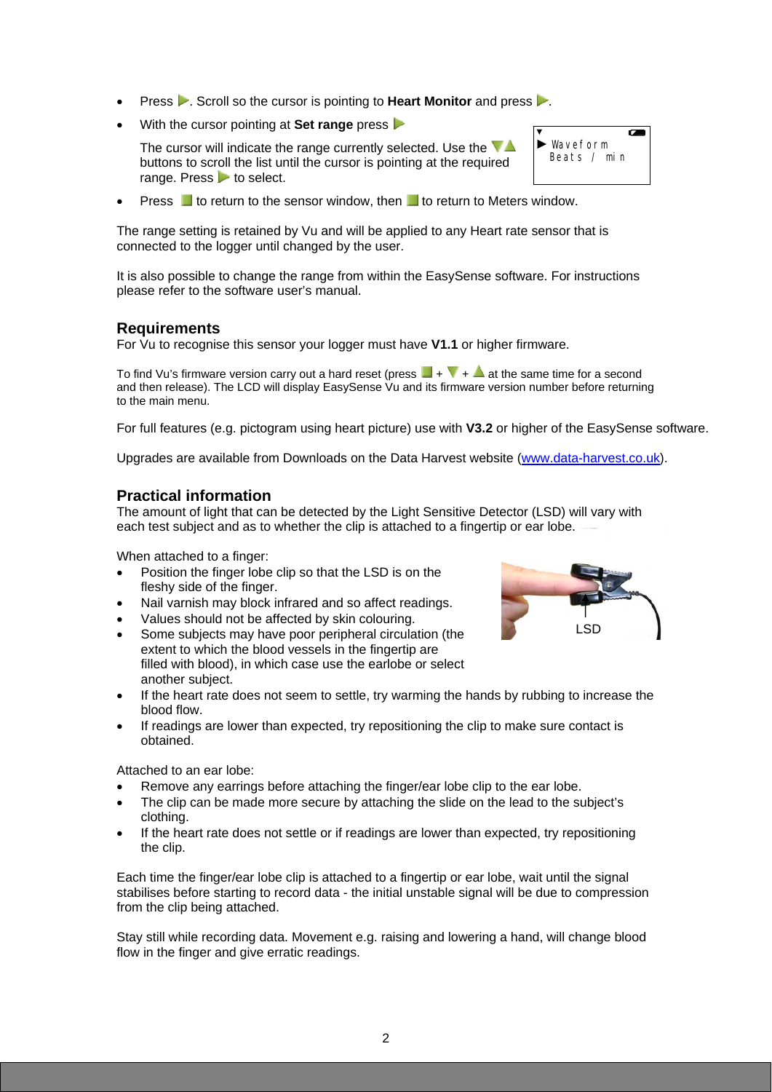- **Press .** Scroll so the cursor is pointing to **Heart Monitor** and press ...
- With the cursor pointing at **Set range** press  $\triangleright$

The cursor will indicate the range currently selected. Use the  $\nabla$ buttons to scroll the list until the cursor is pointing at the required range. Press  $\triangleright$  to select.

Press  $\Box$  to return to the sensor window, then  $\Box$  to return to Meters window.

The range setting is retained by Vu and will be applied to any Heart rate sensor that is connected to the logger until changed by the user.

It is also possible to change the range from within the EasySense software. For instructions please refer to the software user's manual.

## **Requirements**

For Vu to recognise this sensor your logger must have **V1.1** or higher firmware.

To find Vu's firmware version carry out a hard reset (press  $\blacksquare + \blacksquare + \blacktriangle$  at the same time for a second and then release). The LCD will display EasySense Vu and its firmware version number before returning to the main menu.

For full features (e.g. pictogram using heart picture) use with **V3.2** or higher of the EasySense software.

Upgrades are available from Downloads on the Data Harvest website [\(www.data-harvest.co.uk](http://www.dataharvest.co.uk/home.php?&mlev=1&show=2&title=Home)).

### **Practical information**

The amount of light that can be detected by the Light Sensitive Detector (LSD) will vary with each test subject and as to whether the clip is attached to a fingertip or ear lobe.

When attached to a finger:

- Position the finger lobe clip so that the LSD is on the fleshy side of the finger.
- Nail varnish may block infrared and so affect readings.
- Values should not be affected by skin colouring.
- Some subjects may have poor peripheral circulation (the extent to which the blood vessels in the fingertip are filled with blood), in which case use the earlobe or select another subject.
- If the heart rate does not seem to settle, try warming the hands by rubbing to increase the blood flow.
- If readings are lower than expected, try repositioning the clip to make sure contact is obtained.

Attached to an ear lobe:

- Remove any earrings before attaching the finger/ear lobe clip to the ear lobe.
- The clip can be made more secure by attaching the slide on the lead to the subject's clothing.
- If the heart rate does not settle or if readings are lower than expected, try repositioning the clip.

Each time the finger/ear lobe clip is attached to a fingertip or ear lobe, wait until the signal stabilises before starting to record data - the initial unstable signal will be due to compression from the clip being attached.

Stay still while recording data. Movement e.g. raising and lowering a hand, will change blood flow in the finger and give erratic readings.

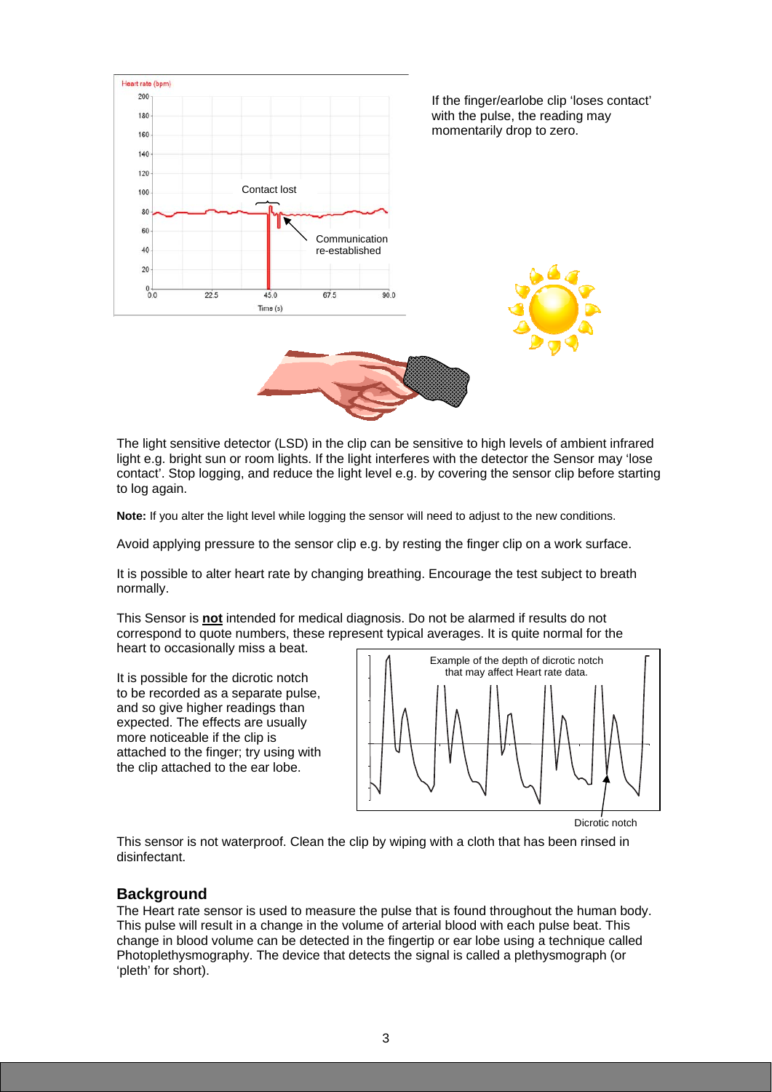

The light sensitive detector (LSD) in the clip can be sensitive to high levels of ambient infrared light e.g. bright sun or room lights. If the light interferes with the detector the Sensor may 'lose contact'. Stop logging, and reduce the light level e.g. by covering the sensor clip before starting to log again.

**Note:** If you alter the light level while logging the sensor will need to adjust to the new conditions.

Avoid applying pressure to the sensor clip e.g. by resting the finger clip on a work surface.

It is possible to alter heart rate by changing breathing. Encourage the test subject to breath normally.

This Sensor is **not** intended for medical diagnosis. Do not be alarmed if results do not correspond to quote numbers, these represent typical averages. It is quite normal for the heart to occasionally miss a beat.

It is possible for the dicrotic notch to be recorded as a separate pulse, and so give higher readings than expected. The effects are usually more noticeable if the clip is attached to the finger; try using with the clip attached to the ear lobe.



Dicrotic notch

This sensor is not waterproof. Clean the clip by wiping with a cloth that has been rinsed in disinfectant.

#### **Background**

The Heart rate sensor is used to measure the pulse that is found throughout the human body. This pulse will result in a change in the volume of arterial blood with each pulse beat. This change in blood volume can be detected in the fingertip or ear lobe using a technique called Photoplethysmography. The device that detects the signal is called a plethysmograph (or 'pleth' for short).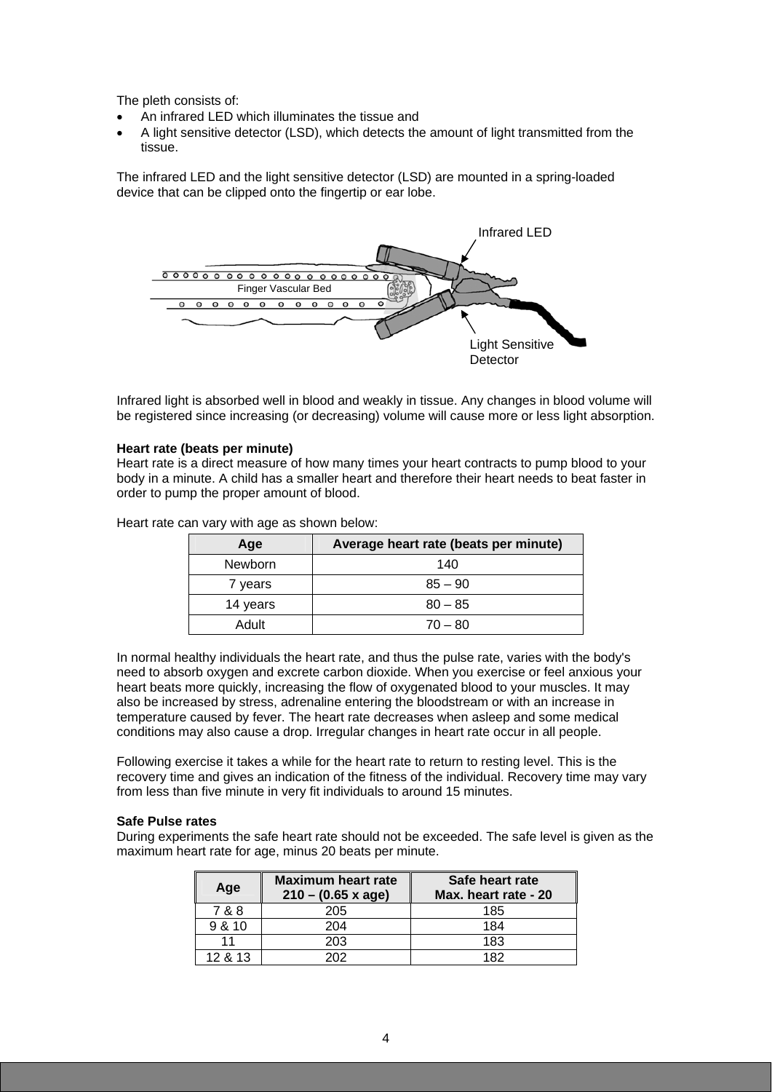The pleth consists of:

- An infrared LED which illuminates the tissue and
- A light sensitive detector (LSD), which detects the amount of light transmitted from the tissue.

The infrared LED and the light sensitive detector (LSD) are mounted in a spring-loaded device that can be clipped onto the fingertip or ear lobe.



Infrared light is absorbed well in blood and weakly in tissue. Any changes in blood volume will be registered since increasing (or decreasing) volume will cause more or less light absorption.

#### **Heart rate (beats per minute)**

Heart rate is a direct measure of how many times your heart contracts to pump blood to your body in a minute. A child has a smaller heart and therefore their heart needs to beat faster in order to pump the proper amount of blood.

| Age            | Average heart rate (beats per minute) |  |  |  |  |  |
|----------------|---------------------------------------|--|--|--|--|--|
| <b>Newborn</b> | 140                                   |  |  |  |  |  |
| 7 years        | $85 - 90$                             |  |  |  |  |  |
| 14 years       | $80 - 85$                             |  |  |  |  |  |
| Adult          | $70 - 80$                             |  |  |  |  |  |

Heart rate can vary with age as shown below:

In normal healthy individuals the heart rate, and thus the pulse rate, varies with the body's need to absorb oxygen and excrete carbon dioxide. When you exercise or feel anxious your heart beats more quickly, increasing the flow of oxygenated blood to your muscles. It may also be increased by stress, adrenaline entering the bloodstream or with an increase in temperature caused by fever. The heart rate decreases when asleep and some medical conditions may also cause a drop. Irregular changes in heart rate occur in all people.

Following exercise it takes a while for the heart rate to return to resting level. This is the recovery time and gives an indication of the fitness of the individual. Recovery time may vary from less than five minute in very fit individuals to around 15 minutes.

#### **Safe Pulse rates**

During experiments the safe heart rate should not be exceeded. The safe level is given as the maximum heart rate for age, minus 20 beats per minute.

| Age     | <b>Maximum heart rate</b><br>$210 - (0.65 \times age)$ | Safe heart rate<br>Max. heart rate - 20 |  |  |  |
|---------|--------------------------------------------------------|-----------------------------------------|--|--|--|
| 7 & 8   | 205                                                    | 185                                     |  |  |  |
| 9 & 10  | 204                                                    | 184                                     |  |  |  |
|         | 203                                                    | 183                                     |  |  |  |
| 12 & 13 | つへつ                                                    | 182                                     |  |  |  |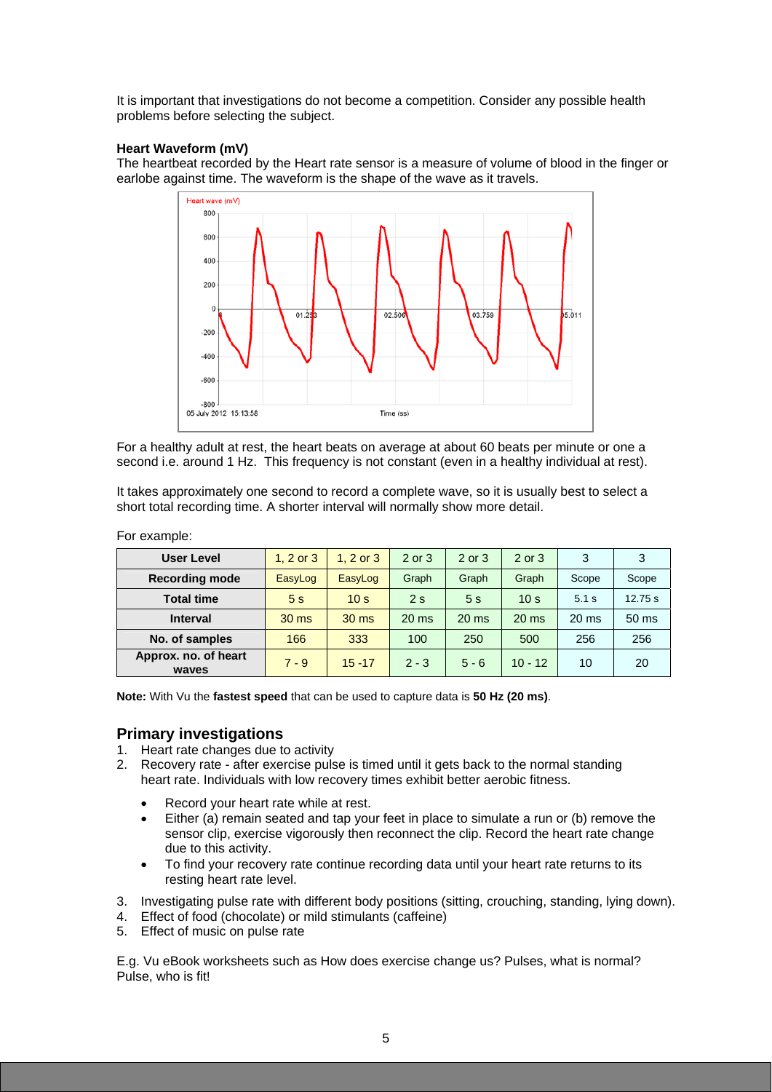It is important that investigations do not become a competition. Consider any possible health problems before selecting the subject.

### **Heart Waveform (mV)**

The heartbeat recorded by the Heart rate sensor is a measure of volume of blood in the finger or earlobe against time. The waveform is the shape of the wave as it travels.



For a healthy adult at rest, the heart beats on average at about 60 beats per minute or one a second i.e. around 1 Hz. This frequency is not constant (even in a healthy individual at rest).

It takes approximately one second to record a complete wave, so it is usually best to select a short total recording time. A shorter interval will normally show more detail.

| <b>User Level</b>             | 1. $2$ or $3$   | $1.2$ or $3$     | 2 or 3          | 2 or 3          | $2$ or $3$       | 3                | 3       |
|-------------------------------|-----------------|------------------|-----------------|-----------------|------------------|------------------|---------|
| <b>Recording mode</b>         | EasyLog         | EasyLog          | Graph           | Graph           | Graph            | Scope            | Scope   |
| <b>Total time</b>             | 5 <sub>s</sub>  | 10 <sub>s</sub>  | 2s              | 5s              | 10 <sub>s</sub>  | 5.1 s            | 12.75 s |
| <b>Interval</b>               | $30 \text{ ms}$ | 30 <sub>ms</sub> | $20 \text{ ms}$ | $20 \text{ ms}$ | 20 <sub>ms</sub> | 20 <sub>ms</sub> | 50 ms   |
| No. of samples                | 166             | 333              | 100             | 250             | 500              | 256              | 256     |
| Approx. no. of heart<br>waves | $7 - 9$         | $15 - 17$        | $2 - 3$         | $5 - 6$         | $10 - 12$        | 10               | 20      |

For example:

**Note:** With Vu the **fastest speed** that can be used to capture data is **50 Hz (20 ms)**.

## **Primary investigations**

- 1. Heart rate changes due to activity
- 2. Recovery rate after exercise pulse is timed until it gets back to the normal standing heart rate. Individuals with low recovery times exhibit better aerobic fitness.
	- Record your heart rate while at rest.
	- Either (a) remain seated and tap your feet in place to simulate a run or (b) remove the sensor clip, exercise vigorously then reconnect the clip. Record the heart rate change due to this activity.
	- To find your recovery rate continue recording data until your heart rate returns to its resting heart rate level.
- 3. Investigating pulse rate with different body positions (sitting, crouching, standing, lying down).
- 4. Effect of food (chocolate) or mild stimulants (caffeine)
- 5. Effect of music on pulse rate

E.g. Vu eBook worksheets such as How does exercise change us? Pulses, what is normal? Pulse, who is fit!